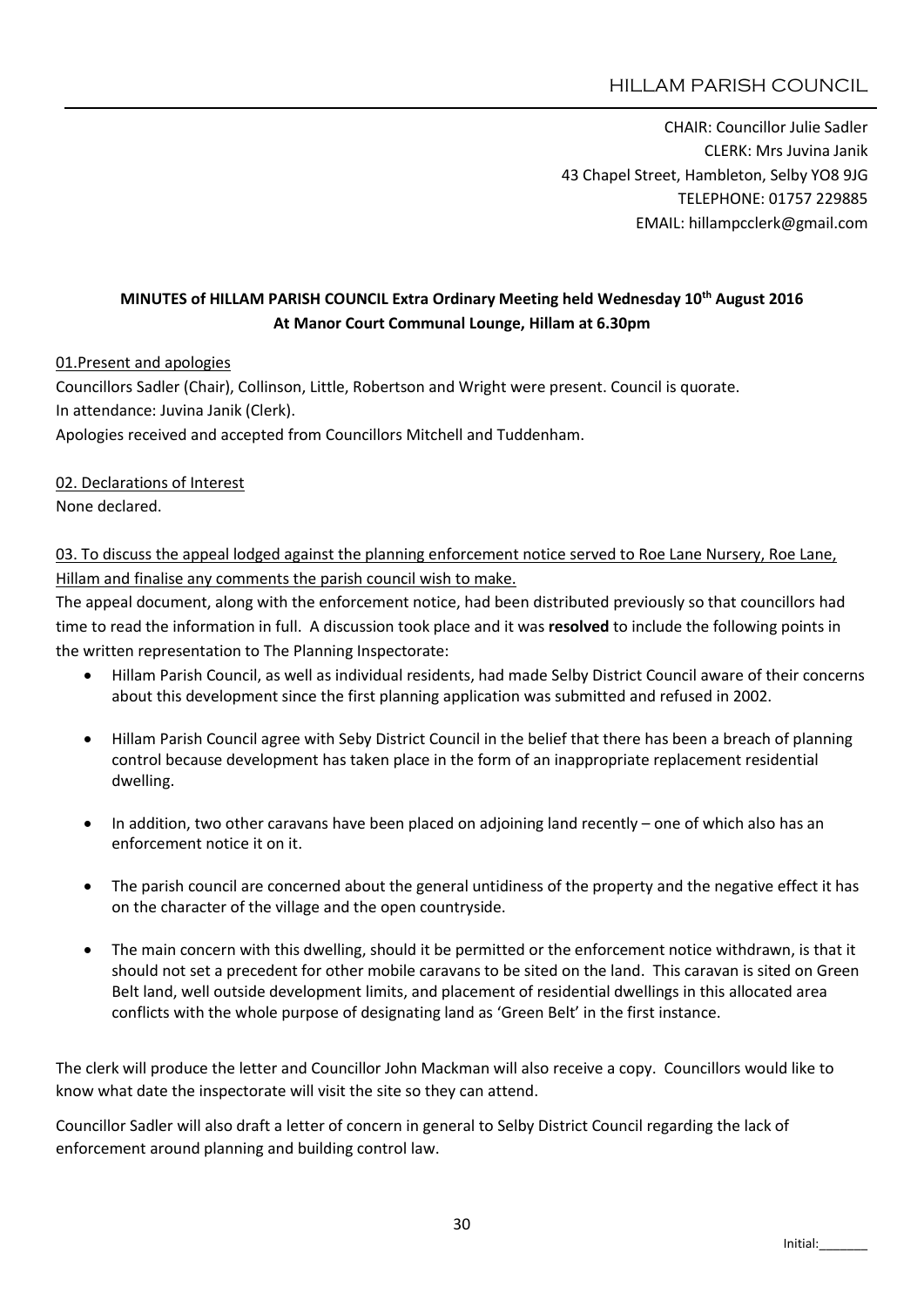# HILLAM PARISH COUNCIL

CHAIR: Councillor Julie Sadler CLERK: Mrs Juvina Janik 43 Chapel Street, Hambleton, Selby YO8 9JG TELEPHONE: 01757 229885 EMAIL: hillampcclerk@gmail.com

## MINUTES of HILLAM PARISH COUNCIL Extra Ordinary Meeting held Wednesday 10th August 2016 At Manor Court Communal Lounge, Hillam at 6.30pm

### 01.Present and apologies

Councillors Sadler (Chair), Collinson, Little, Robertson and Wright were present. Council is quorate. In attendance: Juvina Janik (Clerk).

Apologies received and accepted from Councillors Mitchell and Tuddenham.

#### 02. Declarations of Interest

None declared.

03. To discuss the appeal lodged against the planning enforcement notice served to Roe Lane Nursery, Roe Lane, Hillam and finalise any comments the parish council wish to make.

The appeal document, along with the enforcement notice, had been distributed previously so that councillors had time to read the information in full. A discussion took place and it was resolved to include the following points in the written representation to The Planning Inspectorate:

- Hillam Parish Council, as well as individual residents, had made Selby District Council aware of their concerns about this development since the first planning application was submitted and refused in 2002.
- Hillam Parish Council agree with Seby District Council in the belief that there has been a breach of planning control because development has taken place in the form of an inappropriate replacement residential dwelling.
- In addition, two other caravans have been placed on adjoining land recently one of which also has an enforcement notice it on it.
- The parish council are concerned about the general untidiness of the property and the negative effect it has on the character of the village and the open countryside.
- The main concern with this dwelling, should it be permitted or the enforcement notice withdrawn, is that it should not set a precedent for other mobile caravans to be sited on the land. This caravan is sited on Green Belt land, well outside development limits, and placement of residential dwellings in this allocated area conflicts with the whole purpose of designating land as 'Green Belt' in the first instance.

The clerk will produce the letter and Councillor John Mackman will also receive a copy. Councillors would like to know what date the inspectorate will visit the site so they can attend.

Councillor Sadler will also draft a letter of concern in general to Selby District Council regarding the lack of enforcement around planning and building control law.